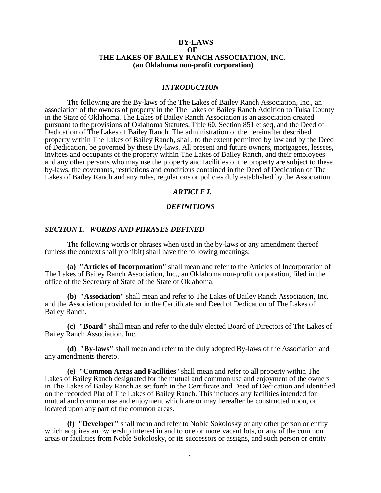### **BY-LAWS OF THE LAKES OF BAILEY RANCH ASSOCIATION, INC. (an Oklahoma non-profit corporation)**

#### *INTRODUCTION*

The following are the By-laws of the The Lakes of Bailey Ranch Association, Inc., an association of the owners of property in the The Lakes of Bailey Ranch Addition to Tulsa County in the State of Oklahoma. The Lakes of Bailey Ranch Association is an association created pursuant to the provisions of Oklahoma Statutes, Title 60, Section 851 et seq, and the Deed of Dedication of The Lakes of Bailey Ranch. The administration of the hereinafter described property within The Lakes of Bailey Ranch, shall, to the extent permitted by law and by the Deed of Dedication, be governed by these By-laws. All present and future owners, mortgagees, lessees, invitees and occupants of the property within The Lakes of Bailey Ranch, and their employees and any other persons who may use the property and facilities of the property are subject to these by-laws, the covenants, restrictions and conditions contained in the Deed of Dedication of The Lakes of Bailey Ranch and any rules, regulations or policies duly established by the Association.

# *ARTICLE I.*

# *DEFINITIONS*

# *SECTION 1. WORDS AND PHRASES DEFINED*

The following words or phrases when used in the by-laws or any amendment thereof (unless the context shall prohibit) shall have the following meanings:

**(a) "Articles of Incorporation"** shall mean and refer to the Articles of Incorporation of The Lakes of Bailey Ranch Association, Inc., an Oklahoma non-profit corporation, filed in the office of the Secretary of State of the State of Oklahoma.

**(b) "Association"** shall mean and refer to The Lakes of Bailey Ranch Association, Inc. and the Association provided for in the Certificate and Deed of Dedication of The Lakes of Bailey Ranch.

**(c) "Board"** shall mean and refer to the duly elected Board of Directors of The Lakes of Bailey Ranch Association, Inc.

**(d) "By-laws"** shall mean and refer to the duly adopted By-laws of the Association and any amendments thereto.

**(e) "Common Areas and Facilities**" shall mean and refer to all property within The Lakes of Bailey Ranch designated for the mutual and common use and enjoyment of the owners in The Lakes of Bailey Ranch as set forth in the Certificate and Deed of Dedication and identified on the recorded Plat of The Lakes of Bailey Ranch. This includes any facilities intended for mutual and common use and enjoyment which are or may hereafter be constructed upon, or located upon any part of the common areas.

**(f) "Developer"** shall mean and refer to Noble Sokolosky or any other person or entity which acquires an ownership interest in and to one or more vacant lots, or any of the common areas or facilities from Noble Sokolosky, or its successors or assigns, and such person or entity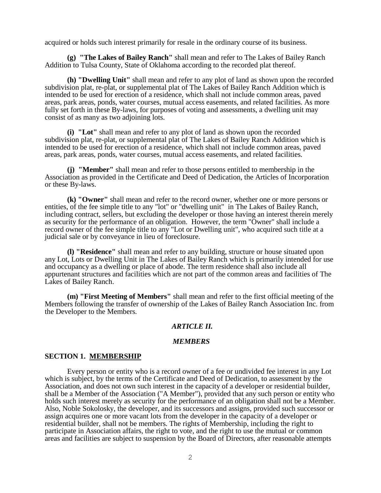acquired or holds such interest primarily for resale in the ordinary course of its business.

**(g) "The Lakes of Bailey Ranch"** shall mean and refer to The Lakes of Bailey Ranch Addition to Tulsa County, State of Oklahoma according to the recorded plat thereof.

**(h) "Dwelling Unit"** shall mean and refer to any plot of land as shown upon the recorded subdivision plat, re-plat, or supplemental plat of The Lakes of Bailey Ranch Addition which is intended to be used for erection of a residence, which shall not include common areas, paved areas, park areas, ponds, water courses, mutual access easements, and related facilities. As more fully set forth in these By-laws, for purposes of voting and assessments, a dwelling unit may consist of as many as two adjoining lots.

**(i) "Lot"** shall mean and refer to any plot of land as shown upon the recorded subdivision plat, re-plat, or supplemental plat of The Lakes of Bailey Ranch Addition which is intended to be used for erection of a residence, which shall not include common areas, paved areas, park areas, ponds, water courses, mutual access easements, and related facilities.

**(j) "Member"** shall mean and refer to those persons entitled to membership in the Association as provided in the Certificate and Deed of Dedication, the Articles of Incorporation or these By-laws.

**(k) "Owner"** shall mean and refer to the record owner, whether one or more persons or entities, of the fee simple title to any "lot" or "dwelling unit" in The Lakes of Bailey Ranch, including contract, sellers, but excluding the developer or those having an interest therein merely as security for the performance of an obligation. However, the term "Owner" shall include a record owner of the fee simple title to any "Lot or Dwelling unit", who acquired such title at a judicial sale or by conveyance in lieu of foreclosure.

**(l) "Residence"** shall mean and refer to any building, structure or house situated upon any Lot, Lots or Dwelling Unit in The Lakes of Bailey Ranch which is primarily intended for use and occupancy as a dwelling or place of abode. The term residence shall also include all appurtenant structures and facilities which are not part of the common areas and facilities of The Lakes of Bailey Ranch.

**(m) "First Meeting of Members"** shall mean and refer to the first official meeting of the Members following the transfer of ownership of the Lakes of Bailey Ranch Association Inc. from the Developer to the Members.

## *ARTICLE II.*

#### *MEMBERS*

### **SECTION 1. MEMBERSHIP**

Every person or entity who is a record owner of a fee or undivided fee interest in any Lot which is subject, by the terms of the Certificate and Deed of Dedication, to assessment by the Association, and does not own such interest in the capacity of a developer or residential builder, shall be a Member of the Association ("A Member"), provided that any such person or entity who holds such interest merely as security for the performance of an obligation shall not be a Member. Also, Noble Sokolosky, the developer, and its successors and assigns, provided such successor or assign acquires one or more vacant lots from the developer in the capacity of a developer or residential builder, shall not be members. The rights of Membership, including the right to participate in Association affairs, the right to vote, and the right to use the mutual or common areas and facilities are subject to suspension by the Board of Directors, after reasonable attempts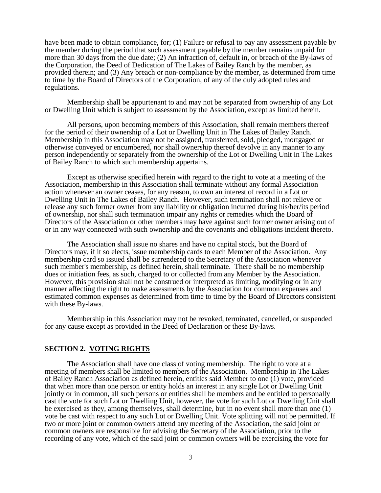have been made to obtain compliance, for; (1) Failure or refusal to pay any assessment payable by the member during the period that such assessment payable by the member remains unpaid for more than 30 days from the due date; (2) An infraction of, default in, or breach of the By-laws of the Corporation, the Deed of Dedication of The Lakes of Bailey Ranch by the member, as provided therein; and (3) Any breach or non-compliance by the member, as determined from time to time by the Board of Directors of the Corporation, of any of the duly adopted rules and regulations.

Membership shall be appurtenant to and may not be separated from ownership of any Lot or Dwelling Unit which is subject to assessment by the Association, except as limited herein.

All persons, upon becoming members of this Association, shall remain members thereof for the period of their ownership of a Lot or Dwelling Unit in The Lakes of Bailey Ranch. Membership in this Association may not be assigned, transferred, sold, pledged, mortgaged or otherwise conveyed or encumbered, nor shall ownership thereof devolve in any manner to any person independently or separately from the ownership of the Lot or Dwelling Unit in The Lakes of Bailey Ranch to which such membership appertains.

Except as otherwise specified herein with regard to the right to vote at a meeting of the Association, membership in this Association shall terminate without any formal Association action whenever an owner ceases, for any reason, to own an interest of record in a Lot or Dwelling Unit in The Lakes of Bailey Ranch. However, such termination shall not relieve or release any such former owner from any liability or obligation incurred during his/her/its period of ownership, nor shall such termination impair any rights or remedies which the Board of Directors of the Association or other members may have against such former owner arising out of or in any way connected with such ownership and the covenants and obligations incident thereto.

The Association shall issue no shares and have no capital stock, but the Board of Directors may, if it so elects, issue membership cards to each Member of the Association. Any membership card so issued shall be surrendered to the Secretary of the Association whenever such member's membership, as defined herein, shall terminate. There shall be no membership dues or initiation fees, as such, charged to or collected from any Member by the Association. However, this provision shall not be construed or interpreted as limiting, modifying or in any manner affecting the right to make assessments by the Association for common expenses and estimated common expenses as determined from time to time by the Board of Directors consistent with these By-laws.

Membership in this Association may not be revoked, terminated, cancelled, or suspended for any cause except as provided in the Deed of Declaration or these By-laws.

# **SECTION 2. VOTING RIGHTS**

The Association shall have one class of voting membership. The right to vote at a meeting of members shall be limited to members of the Association. Membership in The Lakes of Bailey Ranch Association as defined herein, entitles said Member to one (1) vote, provided that when more than one person or entity holds an interest in any single Lot or Dwelling Unit jointly or in common, all such persons or entities shall be members and be entitled to personally cast the vote for such Lot or Dwelling Unit, however, the vote for such Lot or Dwelling Unit shall be exercised as they, among themselves, shall determine, but in no event shall more than one (1) vote be cast with respect to any such Lot or Dwelling Unit. Vote splitting will not be permitted. If two or more joint or common owners attend any meeting of the Association, the said joint or common owners are responsible for advising the Secretary of the Association, prior to the recording of any vote, which of the said joint or common owners will be exercising the vote for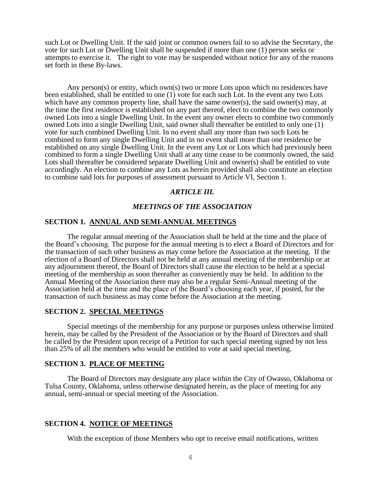such Lot or Dwelling Unit. If the said joint or common owners fail to so advise the Secretary, the vote for such Lot or Dwelling Unit shall be suspended if more than one (1) person seeks or attempts to exercise it. The right to vote may be suspended without notice for any of the reasons set forth in these By-laws.

Any person(s) or entity, which own(s) two or more Lots upon which no residences have been established, shall be entitled to one (1) vote for each such Lot. In the event any two Lots which have any common property line, shall have the same owner(s), the said owner(s) may, at the time the first residence is established on any part thereof, elect to combine the two commonly owned Lots into a single Dwelling Unit. In the event any owner elects to combine two commonly owned Lots into a single Dwelling Unit, said owner shall thereafter be entitled to only one (1) vote for such combined Dwelling Unit. In no event shall any more than two such Lots be combined to form any single Dwelling Unit and in no event shall more than one residence be established on any single Dwelling Unit. In the event any Lot or Lots which had previously been combined to form a single Dwelling Unit shall at any time cease to be commonly owned, the said Lots shall thereafter be considered separate Dwelling Unit and owner(s) shall be entitled to vote accordingly. An election to combine any Lots as herein provided shall also constitute an election to combine said lots for purposes of assessment pursuant to Article VI, Section 1.

# *ARTICLE III.*

# *MEETINGS OF THE ASSOCIATION*

#### **SECTION 1. ANNUAL AND SEMI-ANNUAL MEETINGS**

The regular annual meeting of the Association shall be held at the time and the place of the Board's choosing. The purpose for the annual meeting is to elect a Board of Directors and for the transaction of such other business as may come before the Association at the meeting. If the election of a Board of Directors shall not be held at any annual meeting of the membership or at any adjournment thereof, the Board of Directors shall cause the election to be held at a special meeting of the membership as soon thereafter as conveniently may be held. In addition to the Annual Meeting of the Association there may also be a regular Semi-Annual meeting of the Association held at the time and the place of the Board's choosing each year, if posted, for the transaction of such business as may come before the Association at the meeting.

## **SECTION 2. SPECIAL MEETINGS**

Special meetings of the membership for any purpose or purposes unless otherwise limited herein, may be called by the President of the Association or by the Board of Directors and shall be called by the President upon receipt of a Petition for such special meeting signed by not less than 25% of all the members who would be entitled to vote at said special meeting.

### **SECTION 3. PLACE OF MEETING**

The Board of Directors may designate any place within the City of Owasso, Oklahoma or Tulsa County, Oklahoma, unless otherwise designated herein, as the place of meeting for any annual, semi-annual or special meeting of the Association.

### **SECTION 4. NOTICE OF MEETINGS**

With the exception of those Members who opt to receive email notifications, written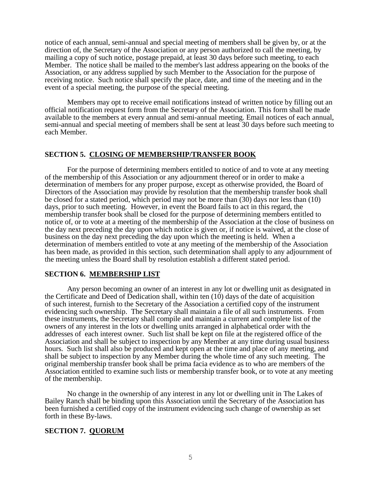notice of each annual, semi-annual and special meeting of members shall be given by, or at the direction of, the Secretary of the Association or any person authorized to call the meeting, by mailing a copy of such notice, postage prepaid, at least 30 days before such meeting, to each Member. The notice shall be mailed to the member's last address appearing on the books of the Association, or any address supplied by such Member to the Association for the purpose of receiving notice. Such notice shall specify the place, date, and time of the meeting and in the event of a special meeting, the purpose of the special meeting.

Members may opt to receive email notifications instead of written notice by filling out an official notification request form from the Secretary of the Association. This form shall be made available to the members at every annual and semi-annual meeting. Email notices of each annual, semi-annual and special meeting of members shall be sent at least 30 days before such meeting to each Member.

## **SECTION 5. CLOSING OF MEMBERSHIP/TRANSFER BOOK**

For the purpose of determining members entitled to notice of and to vote at any meeting of the membership of this Association or any adjournment thereof or in order to make a determination of members for any proper purpose, except as otherwise provided, the Board of Directors of the Association may provide by resolution that the membership transfer book shall be closed for a stated period, which period may not be more than (30) days nor less than (10) days, prior to such meeting. However, in event the Board fails to act in this regard, the membership transfer book shall be closed for the purpose of determining members entitled to notice of, or to vote at a meeting of the membership of the Association at the close of business on the day next preceding the day upon which notice is given or, if notice is waived, at the close of business on the day next preceding the day upon which the meeting is held. When a determination of members entitled to vote at any meeting of the membership of the Association has been made, as provided in this section, such determination shall apply to any adjournment of the meeting unless the Board shall by resolution establish a different stated period.

## **SECTION 6. MEMBERSHIP LIST**

Any person becoming an owner of an interest in any lot or dwelling unit as designated in the Certificate and Deed of Dedication shall, within ten (10) days of the date of acquisition of such interest, furnish to the Secretary of the Association a certified copy of the instrument evidencing such ownership. The Secretary shall maintain a file of all such instruments. From these instruments, the Secretary shall compile and maintain a current and complete list of the owners of any interest in the lots or dwelling units arranged in alphabetical order with the addresses of each interest owner. Such list shall be kept on file at the registered office of the Association and shall be subject to inspection by any Member at any time during usual business hours. Such list shall also be produced and kept open at the time and place of any meeting, and shall be subject to inspection by any Member during the whole time of any such meeting. The original membership transfer book shall be prima facia evidence as to who are members of the Association entitled to examine such lists or membership transfer book, or to vote at any meeting of the membership.

No change in the ownership of any interest in any lot or dwelling unit in The Lakes of Bailey Ranch shall be binding upon this Association until the Secretary of the Association has been furnished a certified copy of the instrument evidencing such change of ownership as set forth in these By-laws.

# **SECTION 7. QUORUM**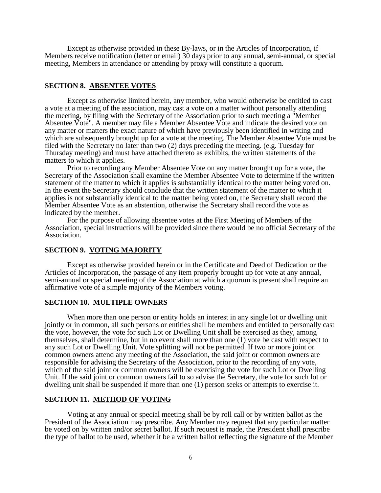Except as otherwise provided in these By-laws, or in the Articles of Incorporation, if Members receive notification (letter or email) 30 days prior to any annual, semi-annual, or special meeting, Members in attendance or attending by proxy will constitute a quorum.

## **SECTION 8. ABSENTEE VOTES**

Except as otherwise limited herein, any member, who would otherwise be entitled to cast a vote at a meeting of the association, may cast a vote on a matter without personally attending the meeting, by filing with the Secretary of the Association prior to such meeting a "Member Absentee Vote". A member may file a Member Absentee Vote and indicate the desired vote on any matter or matters the exact nature of which have previously been identified in writing and which are subsequently brought up for a vote at the meeting. The Member Absentee Vote must be filed with the Secretary no later than two (2) days preceding the meeting. (e.g. Tuesday for Thursday meeting) and must have attached thereto as exhibits, the written statements of the matters to which it applies.

Prior to recording any Member Absentee Vote on any matter brought up for a vote, the Secretary of the Association shall examine the Member Absentee Vote to determine if the written statement of the matter to which it applies is substantially identical to the matter being voted on. In the event the Secretary should conclude that the written statement of the matter to which it applies is not substantially identical to the matter being voted on, the Secretary shall record the Member Absentee Vote as an abstention, otherwise the Secretary shall record the vote as indicated by the member.

For the purpose of allowing absentee votes at the First Meeting of Members of the Association, special instructions will be provided since there would be no official Secretary of the Association.

#### **SECTION 9. VOTING MAJORITY**

Except as otherwise provided herein or in the Certificate and Deed of Dedication or the Articles of Incorporation, the passage of any item properly brought up for vote at any annual, semi-annual or special meeting of the Association at which a quorum is present shall require an affirmative vote of a simple majority of the Members voting.

### **SECTION 10. MULTIPLE OWNERS**

When more than one person or entity holds an interest in any single lot or dwelling unit jointly or in common, all such persons or entities shall be members and entitled to personally cast the vote, however, the vote for such Lot or Dwelling Unit shall be exercised as they, among themselves, shall determine, but in no event shall more than one (1) vote be cast with respect to any such Lot or Dwelling Unit. Vote splitting will not be permitted. If two or more joint or common owners attend any meeting of the Association, the said joint or common owners are responsible for advising the Secretary of the Association, prior to the recording of any vote, which of the said joint or common owners will be exercising the vote for such Lot or Dwelling Unit. If the said joint or common owners fail to so advise the Secretary, the vote for such lot or dwelling unit shall be suspended if more than one (1) person seeks or attempts to exercise it.

## **SECTION 11. METHOD OF VOTING**

Voting at any annual or special meeting shall be by roll call or by written ballot as the President of the Association may prescribe. Any Member may request that any particular matter be voted on by written and/or secret ballot. If such request is made, the President shall prescribe the type of ballot to be used, whether it be a written ballot reflecting the signature of the Member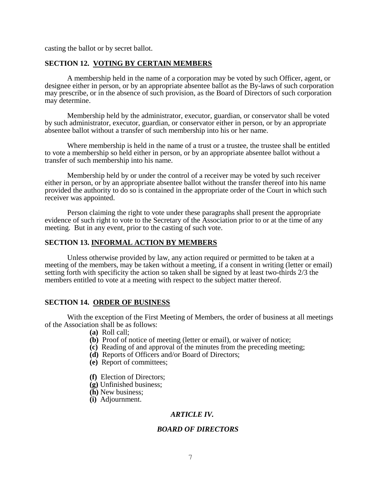casting the ballot or by secret ballot.

## **SECTION 12. VOTING BY CERTAIN MEMBERS**

A membership held in the name of a corporation may be voted by such Officer, agent, or designee either in person, or by an appropriate absentee ballot as the By-laws of such corporation may prescribe, or in the absence of such provision, as the Board of Directors of such corporation may determine.

Membership held by the administrator, executor, guardian, or conservator shall be voted by such administrator, executor, guardian, or conservator either in person, or by an appropriate absentee ballot without a transfer of such membership into his or her name.

Where membership is held in the name of a trust or a trustee, the trustee shall be entitled to vote a membership so held either in person, or by an appropriate absentee ballot without a transfer of such membership into his name.

Membership held by or under the control of a receiver may be voted by such receiver either in person, or by an appropriate absentee ballot without the transfer thereof into his name provided the authority to do so is contained in the appropriate order of the Court in which such receiver was appointed.

Person claiming the right to vote under these paragraphs shall present the appropriate evidence of such right to vote to the Secretary of the Association prior to or at the time of any meeting. But in any event, prior to the casting of such vote.

### **SECTION 13. INFORMAL ACTION BY MEMBERS**

Unless otherwise provided by law, any action required or permitted to be taken at a meeting of the members, may be taken without a meeting, if a consent in writing (letter or email) setting forth with specificity the action so taken shall be signed by at least two-thirds 2/3 the members entitled to vote at a meeting with respect to the subject matter thereof.

### **SECTION 14. ORDER OF BUSINESS**

With the exception of the First Meeting of Members, the order of business at all meetings of the Association shall be as follows:

- **(a)** Roll call;
- **(b)** Proof of notice of meeting (letter or email), or waiver of notice;
- **(c)** Reading of and approval of the minutes from the preceding meeting;
- **(d)** Reports of Officers and/or Board of Directors;
- **(e)** Report of committees;
- **(f)** Election of Directors;
- **(g)** Unfinished business;
- **(h)** New business;
- **(i)** Adjournment.

# *ARTICLE IV.*

## *BOARD OF DIRECTORS*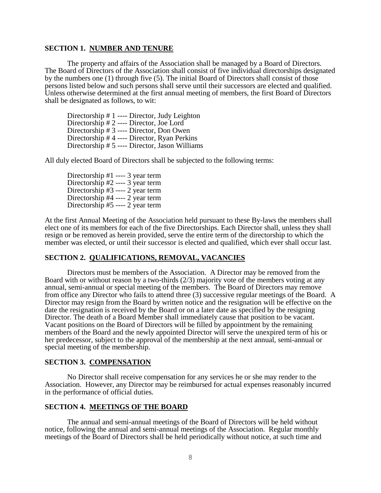### **SECTION 1. NUMBER AND TENURE**

The property and affairs of the Association shall be managed by a Board of Directors. The Board of Directors of the Association shall consist of five individual directorships designated by the numbers one (1) through five (5). The initial Board of Directors shall consist of those persons listed below and such persons shall serve until their successors are elected and qualified. Unless otherwise determined at the first annual meeting of members, the first Board of Directors shall be designated as follows, to wit:

Directorship # 1 ---- Director, Judy Leighton Directorship # 2 ---- Director, Joe Lord Directorship # 3 ---- Director, Don Owen Directorship # 4 ---- Director, Ryan Perkins Directorship # 5 ---- Director, Jason Williams

All duly elected Board of Directors shall be subjected to the following terms:

Directorship #1 ---- 3 year term Directorship #2 ---- 3 year term Directorship #3 ---- 2 year term Directorship #4 ---- 2 year term Directorship #5 ---- 2 year term

At the first Annual Meeting of the Association held pursuant to these By-laws the members shall elect one of its members for each of the five Directorships. Each Director shall, unless they shall resign or be removed as herein provided, serve the entire term of the directorship to which the member was elected, or until their successor is elected and qualified, which ever shall occur last.

# **SECTION 2. QUALIFICATIONS, REMOVAL, VACANCIES**

Directors must be members of the Association. A Director may be removed from the Board with or without reason by a two-thirds (2/3) majority vote of the members voting at any annual, semi-annual or special meeting of the members. The Board of Directors may remove from office any Director who fails to attend three (3) successive regular meetings of the Board. A Director may resign from the Board by written notice and the resignation will be effective on the date the resignation is received by the Board or on a later date as specified by the resigning Director. The death of a Board Member shall immediately cause that position to be vacant. Vacant positions on the Board of Directors will be filled by appointment by the remaining members of the Board and the newly appointed Director will serve the unexpired term of his or her predecessor, subject to the approval of the membership at the next annual, semi-annual or special meeting of the membership.

# **SECTION 3. COMPENSATION**

No Director shall receive compensation for any services he or she may render to the Association. However, any Director may be reimbursed for actual expenses reasonably incurred in the performance of official duties.

#### **SECTION 4. MEETINGS OF THE BOARD**

The annual and semi-annual meetings of the Board of Directors will be held without notice, following the annual and semi-annual meetings of the Association. Regular monthly meetings of the Board of Directors shall be held periodically without notice, at such time and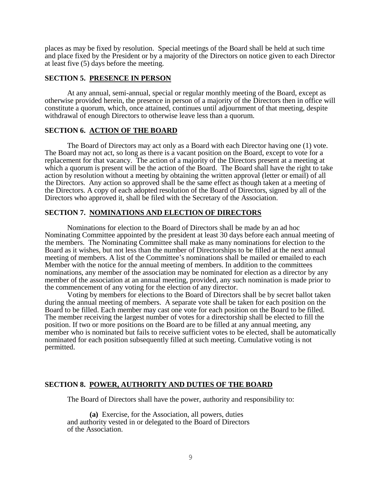places as may be fixed by resolution. Special meetings of the Board shall be held at such time and place fixed by the President or by a majority of the Directors on notice given to each Director at least five (5) days before the meeting.

## **SECTION 5. PRESENCE IN PERSON**

At any annual, semi-annual, special or regular monthly meeting of the Board, except as otherwise provided herein, the presence in person of a majority of the Directors then in office will constitute a quorum, which, once attained, continues until adjournment of that meeting, despite withdrawal of enough Directors to otherwise leave less than a quorum.

## **SECTION 6. ACTION OF THE BOARD**

The Board of Directors may act only as a Board with each Director having one (1) vote. The Board may not act, so long as there is a vacant position on the Board, except to vote for a replacement for that vacancy. The action of a majority of the Directors present at a meeting at which a quorum is present will be the action of the Board. The Board shall have the right to take action by resolution without a meeting by obtaining the written approval (letter or email) of all the Directors. Any action so approved shall be the same effect as though taken at a meeting of the Directors. A copy of each adopted resolution of the Board of Directors, signed by all of the Directors who approved it, shall be filed with the Secretary of the Association.

#### **SECTION 7. NOMINATIONS AND ELECTION OF DIRECTORS**

Nominations for election to the Board of Directors shall be made by an ad hoc Nominating Committee appointed by the president at least 30 days before each annual meeting of the members. The Nominating Committee shall make as many nominations for election to the Board as it wishes, but not less than the number of Directorships to be filled at the next annual meeting of members. A list of the Committee's nominations shall be mailed or emailed to each Member with the notice for the annual meeting of members. In addition to the committees nominations, any member of the association may be nominated for election as a director by any member of the association at an annual meeting, provided, any such nomination is made prior to the commencement of any voting for the election of any director.

Voting by members for elections to the Board of Directors shall be by secret ballot taken during the annual meeting of members. A separate vote shall be taken for each position on the Board to be filled. Each member may cast one vote for each position on the Board to be filled. The member receiving the largest number of votes for a directorship shall be elected to fill the position. If two or more positions on the Board are to be filled at any annual meeting, any member who is nominated but fails to receive sufficient votes to be elected, shall be automatically nominated for each position subsequently filled at such meeting. Cumulative voting is not permitted.

#### **SECTION 8. POWER, AUTHORITY AND DUTIES OF THE BOARD**

The Board of Directors shall have the power, authority and responsibility to:

**(a)** Exercise, for the Association, all powers, duties and authority vested in or delegated to the Board of Directors of the Association.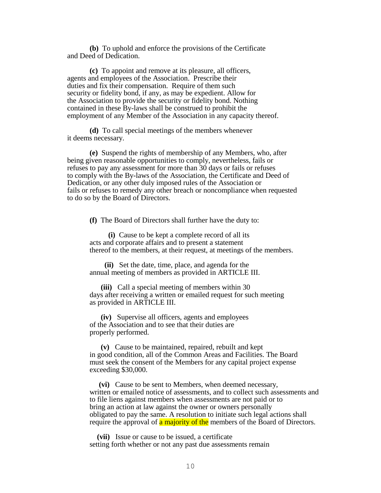**(b)** To uphold and enforce the provisions of the Certificate and Deed of Dedication.

**(c)** To appoint and remove at its pleasure, all officers, agents and employees of the Association. Prescribe their duties and fix their compensation. Require of them such security or fidelity bond, if any, as may be expedient. Allow for the Association to provide the security or fidelity bond. Nothing contained in these By-laws shall be construed to prohibit the employment of any Member of the Association in any capacity thereof.

**(d)** To call special meetings of the members whenever it deems necessary.

**(e)** Suspend the rights of membership of any Members, who, after being given reasonable opportunities to comply, nevertheless, fails or refuses to pay any assessment for more than 30 days or fails or refuses to comply with the By-laws of the Association, the Certificate and Deed of Dedication, or any other duly imposed rules of the Association or fails or refuses to remedy any other breach or noncompliance when requested to do so by the Board of Directors.

**(f)** The Board of Directors shall further have the duty to:

 **(i)** Cause to be kept a complete record of all its acts and corporate affairs and to present a statement thereof to the members, at their request, at meetings of the members.

 **(ii)** Set the date, time, place, and agenda for the annual meeting of members as provided in ARTICLE III.

 **(iii)** Call a special meeting of members within 30 days after receiving a written or emailed request for such meeting as provided in ARTICLE III.

 **(iv)** Supervise all officers, agents and employees of the Association and to see that their duties are properly performed.

 **(v)** Cause to be maintained, repaired, rebuilt and kept in good condition, all of the Common Areas and Facilities. The Board must seek the consent of the Members for any capital project expense exceeding \$30,000.

 **(vi)** Cause to be sent to Members, when deemed necessary, written or emailed notice of assessments, and to collect such assessments and to file liens against members when assessments are not paid or to bring an action at law against the owner or owners personally obligated to pay the same. A resolution to initiate such legal actions shall require the approval of **a majority of the** members of the Board of Directors.

 **(vii)** Issue or cause to be issued, a certificate setting forth whether or not any past due assessments remain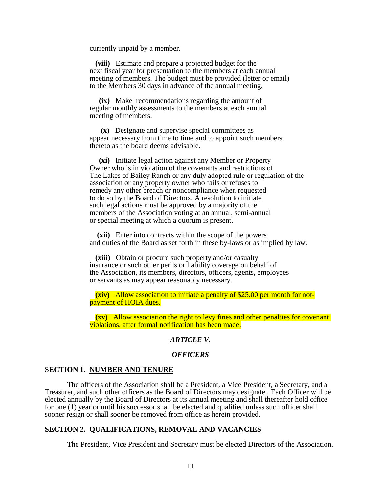currently unpaid by a member.

 **(viii)** Estimate and prepare a projected budget for the next fiscal year for presentation to the members at each annual meeting of members. The budget must be provided (letter or email) to the Members 30 days in advance of the annual meeting.

 **(ix)** Make recommendations regarding the amount of regular monthly assessments to the members at each annual meeting of members.

 **(x)** Designate and supervise special committees as appear necessary from time to time and to appoint such members thereto as the board deems advisable.

 **(xi)** Initiate legal action against any Member or Property Owner who is in violation of the covenants and restrictions of The Lakes of Bailey Ranch or any duly adopted rule or regulation of the association or any property owner who fails or refuses to remedy any other breach or noncompliance when requested to do so by the Board of Directors. A resolution to initiate such legal actions must be approved by a majority of the members of the Association voting at an annual, semi-annual or special meeting at which a quorum is present.

 **(xii)** Enter into contracts within the scope of the powers and duties of the Board as set forth in these by-laws or as implied by law.

 **(xiii)** Obtain or procure such property and/or casualty insurance or such other perils or liability coverage on behalf of the Association, its members, directors, officers, agents, employees or servants as may appear reasonably necessary.

 **(xiv)** Allow association to initiate a penalty of \$25.00 per month for notpayment of HOIA dues.

 **(xv)** Allow association the right to levy fines and other penalties for covenant violations, after formal notification has been made.

## *ARTICLE V.*

#### *OFFICERS*

### **SECTION 1. NUMBER AND TENURE**

The officers of the Association shall be a President, a Vice President, a Secretary, and a Treasurer, and such other officers as the Board of Directors may designate. Each Officer will be elected annually by the Board of Directors at its annual meeting and shall thereafter hold office for one (1) year or until his successor shall be elected and qualified unless such officer shall sooner resign or shall sooner be removed from office as herein provided.

## **SECTION 2. QUALIFICATIONS, REMOVAL AND VACANCIES**

The President, Vice President and Secretary must be elected Directors of the Association.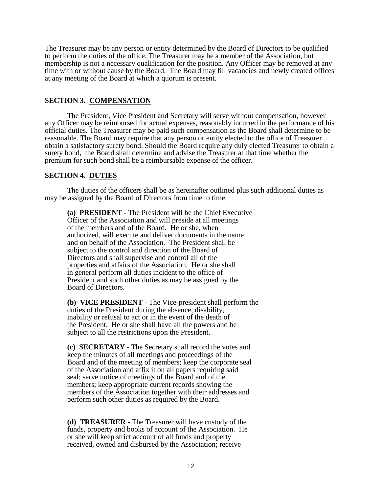The Treasurer may be any person or entity determined by the Board of Directors to be qualified to perform the duties of the office. The Treasurer may be a member of the Association, but membership is not a necessary qualification for the position. Any Officer may be removed at any time with or without cause by the Board. The Board may fill vacancies and newly created offices at any meeting of the Board at which a quorum is present.

# **SECTION 3. COMPENSATION**

The President, Vice President and Secretary will serve without compensation, however any Officer may be reimbursed for actual expenses, reasonably incurred in the performance of his official duties. The Treasurer may be paid such compensation as the Board shall determine to be reasonable. The Board may require that any person or entity elected to the office of Treasurer obtain a satisfactory surety bond. Should the Board require any duly elected Treasurer to obtain a surety bond, the Board shall determine and advise the Treasurer at that time whether the premium for such bond shall be a reimbursable expense of the officer.

## Î **SECTION 4. DUTIES**

The duties of the officers shall be as hereinafter outlined plus such additional duties as may be assigned by the Board of Directors from time to time.

**(a) PRESIDENT** - The President will be the Chief Executive Officer of the Association and will preside at all meetings of the members and of the Board. He or she, when authorized, will execute and deliver documents in the name and on behalf of the Association. The President shall be subject to the control and direction of the Board of Directors and shall supervise and control all of the properties and affairs of the Association. He or she shall in general perform all duties incident to the office of President and such other duties as may be assigned by the Board of Directors.

**(b) VICE PRESIDENT** - The Vice-president shall perform the duties of the President during the absence, disability, inability or refusal to act or in the event of the death of the President. He or she shall have all the powers and be subject to all the restrictions upon the President.

**(c) SECRETARY** - The Secretary shall record the votes and keep the minutes of all meetings and proceedings of the Board and of the meeting of members; keep the corporate seal of the Association and affix it on all papers requiring said seal; serve notice of meetings of the Board and of the members; keep appropriate current records showing the members of the Association together with their addresses and perform such other duties as required by the Board.

**(d) TREASURER** - The Treasurer will have custody of the funds, property and books of account of the Association. He or she will keep strict account of all funds and property received, owned and disbursed by the Association; receive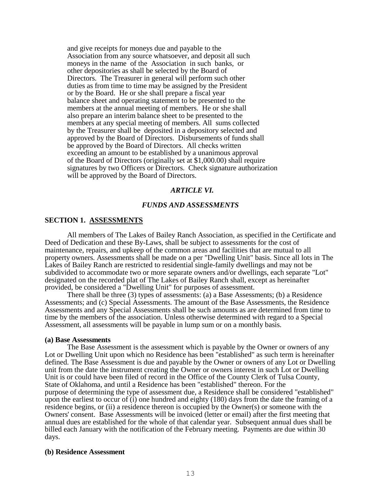and give receipts for moneys due and payable to the Association from any source whatsoever, and deposit all such moneys in the name of the Association in such banks, or other depositories as shall be selected by the Board of Directors. The Treasurer in general will perform such other duties as from time to time may be assigned by the President or by the Board. He or she shall prepare a fiscal year balance sheet and operating statement to be presented to the members at the annual meeting of members. He or she shall also prepare an interim balance sheet to be presented to the members at any special meeting of members. All sums collected by the Treasurer shall be deposited in a depository selected and approved by the Board of Directors. Disbursements of funds shall be approved by the Board of Directors. All checks written exceeding an amount to be established by a unanimous approval of the Board of Directors (originally set at \$1,000.00) shall require signatures by two Officers or Directors. Check signature authorization will be approved by the Board of Directors.

#### *ARTICLE VI.*

#### *FUNDS AND ASSESSMENTS*

#### **SECTION 1. ASSESSMENTS**

All members of The Lakes of Bailey Ranch Association, as specified in the Certificate and Deed of Dedication and these By-Laws, shall be subject to assessments for the cost of maintenance, repairs, and upkeep of the common areas and facilities that are mutual to all property owners. Assessments shall be made on a per "Dwelling Unit" basis. Since all lots in The Lakes of Bailey Ranch are restricted to residential single-family dwellings and may not be subdivided to accommodate two or more separate owners and/or dwellings, each separate "Lot" designated on the recorded plat of The Lakes of Bailey Ranch shall, except as hereinafter provided, be considered a "Dwelling Unit" for purposes of assessment.

There shall be three (3) types of assessments: (a) a Base Assessments; (b) a Residence Assessments; and (c) Special Assessments. The amount of the Base Assessments, the Residence Assessments and any Special Assessments shall be such amounts as are determined from time to time by the members of the association. Unless otherwise determined with regard to a Special Assessment, all assessments will be payable in lump sum or on a monthly basis.

#### **(a) Base Assessments**

The Base Assessment is the assessment which is payable by the Owner or owners of any Lot or Dwelling Unit upon which no Residence has been "established" as such term is hereinafter defined. The Base Assessment is due and payable by the Owner or owners of any Lot or Dwelling unit from the date the instrument creating the Owner or owners interest in such Lot or Dwelling Unit is or could have been filed of record in the Office of the County Clerk of Tulsa County, State of Oklahoma, and until a Residence has been "established" thereon. For the purpose of determining the type of assessment due, a Residence shall be considered "established" upon the earliest to occur of (i) one hundred and eighty (180) days from the date the framing of a residence begins, or (ii) a residence thereon is occupied by the Owner(s) or someone with the Owners' consent. Base Assessments will be invoiced (letter or email) after the first meeting that annual dues are established for the whole of that calendar year. Subsequent annual dues shall be billed each January with the notification of the February meeting. Payments are due within 30 days.

#### **(b) Residence Assessment**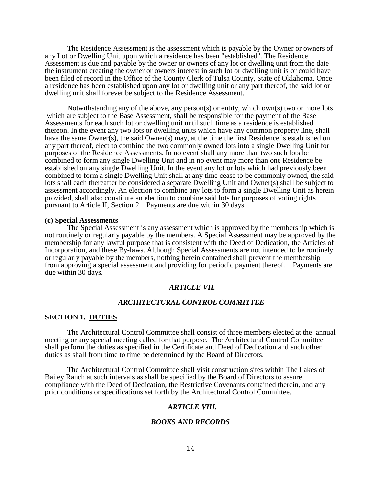The Residence Assessment is the assessment which is payable by the Owner or owners of any Lot or Dwelling Unit upon which a residence has been "established". The Residence Assessment is due and payable by the owner or owners of any lot or dwelling unit from the date the instrument creating the owner or owners interest in such lot or dwelling unit is or could have been filed of record in the Office of the County Clerk of Tulsa County, State of Oklahoma. Once a residence has been established upon any lot or dwelling unit or any part thereof, the said lot or dwelling unit shall forever be subject to the Residence Assessment.

Notwithstanding any of the above, any person(s) or entity, which own(s) two or more lots which are subject to the Base Assessment, shall be responsible for the payment of the Base Assessments for each such lot or dwelling unit until such time as a residence is established thereon. In the event any two lots or dwelling units which have any common property line, shall have the same Owner(s), the said Owner(s) may, at the time the first Residence is established on any part thereof, elect to combine the two commonly owned lots into a single Dwelling Unit for purposes of the Residence Assessments. In no event shall any more than two such lots be combined to form any single Dwelling Unit and in no event may more than one Residence be established on any single Dwelling Unit. In the event any lot or lots which had previously been combined to form a single Dwelling Unit shall at any time cease to be commonly owned, the said lots shall each thereafter be considered a separate Dwelling Unit and Owner(s) shall be subject to assessment accordingly. An election to combine any lots to form a single Dwelling Unit as herein provided, shall also constitute an election to combine said lots for purposes of voting rights pursuant to Article II, Section 2. Payments are due within 30 days.

#### **(c) Special Assessments**

The Special Assessment is any assessment which is approved by the membership which is not routinely or regularly payable by the members. A Special Assessment may be approved by the membership for any lawful purpose that is consistent with the Deed of Dedication, the Articles of Incorporation, and these By-laws. Although Special Assessments are not intended to be routinely or regularly payable by the members, nothing herein contained shall prevent the membership from approving a special assessment and providing for periodic payment thereof. Payments are due within 30 days.

## *ARTICLE VII.*

## *ARCHITECTURAL CONTROL COMMITTEE*

#### **SECTION 1. DUTIES**

The Architectural Control Committee shall consist of three members elected at the annual meeting or any special meeting called for that purpose. The Architectural Control Committee shall perform the duties as specified in the Certificate and Deed of Dedication and such other duties as shall from time to time be determined by the Board of Directors.

The Architectural Control Committee shall visit construction sites within The Lakes of Bailey Ranch at such intervals as shall be specified by the Board of Directors to assure compliance with the Deed of Dedication, the Restrictive Covenants contained therein, and any prior conditions or specifications set forth by the Architectural Control Committee.

## *ARTICLE VIII.*

#### *BOOKS AND RECORDS*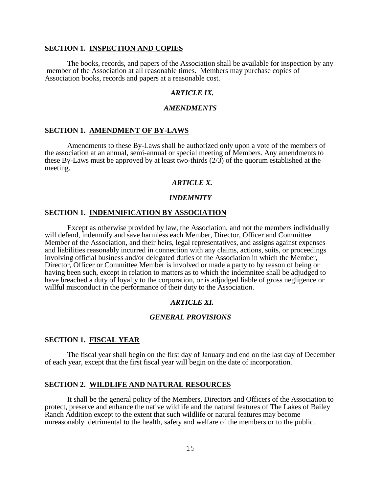## **SECTION 1. INSPECTION AND COPIES**

The books, records, and papers of the Association shall be available for inspection by any member of the Association at all reasonable times. Members may purchase copies of Association books, records and papers at a reasonable cost.

# *ARTICLE IX.*

#### *AMENDMENTS*

# **SECTION 1. AMENDMENT OF BY-LAWS**

Amendments to these By-Laws shall be authorized only upon a vote of the members of the association at an annual, semi-annual or special meeting of Members. Any amendments to these By-Laws must be approved by at least two-thirds  $(2/3)$  of the quorum established at the meeting.

## *ARTICLE X.*

#### *INDEMNITY*

### **SECTION 1. INDEMNIFICATION BY ASSOCIATION**

Except as otherwise provided by law, the Association, and not the members individually will defend, indemnify and save harmless each Member, Director, Officer and Committee Member of the Association, and their heirs, legal representatives, and assigns against expenses and liabilities reasonably incurred in connection with any claims, actions, suits, or proceedings involving official business and/or delegated duties of the Association in which the Member, Director, Officer or Committee Member is involved or made a party to by reason of being or having been such, except in relation to matters as to which the indemnitee shall be adjudged to have breached a duty of loyalty to the corporation, or is adjudged liable of gross negligence or willful misconduct in the performance of their duty to the Association.

#### *ARTICLE XI.*

#### *GENERAL PROVISIONS*

### **SECTION 1. FISCAL YEAR**

The fiscal year shall begin on the first day of January and end on the last day of December of each year, except that the first fiscal year will begin on the date of incorporation.

## **SECTION 2. WILDLIFE AND NATURAL RESOURCES**

It shall be the general policy of the Members, Directors and Officers of the Association to protect, preserve and enhance the native wildlife and the natural features of The Lakes of Bailey Ranch Addition except to the extent that such wildlife or natural features may become unreasonably detrimental to the health, safety and welfare of the members or to the public.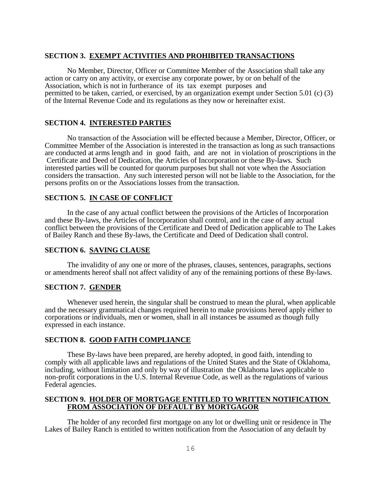## **SECTION 3. EXEMPT ACTIVITIES AND PROHIBITED TRANSACTIONS**

No Member, Director, Officer or Committee Member of the Association shall take any action or carry on any activity, or exercise any corporate power, by or on behalf of the Association, which is not in furtherance of its tax exempt purposes and permitted to be taken, carried, or exercised, by an organization exempt under Section 5.01 (c) (3) of the Internal Revenue Code and its regulations as they now or hereinafter exist.

# **SECTION 4. INTERESTED PARTIES**

No transaction of the Association will be effected because a Member, Director, Officer, or Committee Member of the Association is interested in the transaction as long as such transactions are conducted at arms length and in good faith, and are not in violation of proscriptions in the Certificate and Deed of Dedication, the Articles of Incorporation or these By-laws. Such interested parties will be counted for quorum purposes but shall not vote when the Association considers the transaction. Any such interested person will not be liable to the Association, for the persons profits on or the Associations losses from the transaction.

## **SECTION 5. IN CASE OF CONFLICT**

In the case of any actual conflict between the provisions of the Articles of Incorporation and these By-laws, the Articles of Incorporation shall control, and in the case of any actual conflict between the provisions of the Certificate and Deed of Dedication applicable to The Lakes of Bailey Ranch and these By-laws, the Certificate and Deed of Dedication shall control.

## **SECTION 6. SAVING CLAUSE**

The invalidity of any one or more of the phrases, clauses, sentences, paragraphs, sections or amendments hereof shall not affect validity of any of the remaining portions of these By-laws.

## **SECTION 7. GENDER**

Whenever used herein, the singular shall be construed to mean the plural, when applicable and the necessary grammatical changes required herein to make provisions hereof apply either to corporations or individuals, men or women, shall in all instances be assumed as though fully expressed in each instance.

# **SECTION 8. GOOD FAITH COMPLIANCE**

These By-laws have been prepared, are hereby adopted, in good faith, intending to comply with all applicable laws and regulations of the United States and the State of Oklahoma, including, without limitation and only by way of illustration the Oklahoma laws applicable to non-profit corporations in the U.S. Internal Revenue Code, as well as the regulations of various Federal agencies.

## **SECTION 9. HOLDER OF MORTGAGE ENTITLED TO WRITTEN NOTIFICATION FROM ASSOCIATION OF DEFAULT BY MORTGAGOR**

The holder of any recorded first mortgage on any lot or dwelling unit or residence in The Lakes of Bailey Ranch is entitled to written notification from the Association of any default by